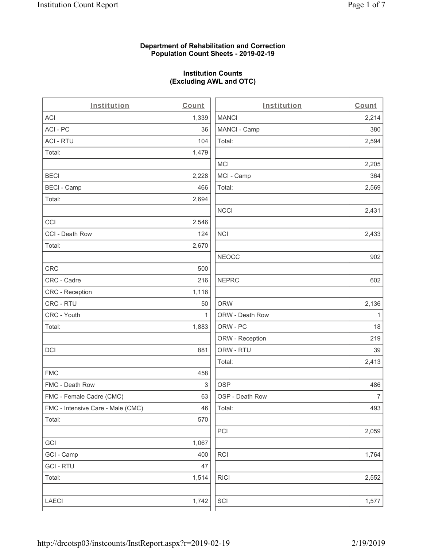#### **Department of Rehabilitation and Correction Population Count Sheets - 2019-02-19**

# **Institution Counts (Excluding AWL and OTC)**

| Institution                       | Count        | Institution     | Count        |
|-----------------------------------|--------------|-----------------|--------------|
| ACI                               | 1,339        | <b>MANCI</b>    | 2,214        |
| ACI - PC                          | 36           | MANCI - Camp    | 380          |
| <b>ACI - RTU</b>                  | 104          | Total:          | 2,594        |
| Total:                            | 1,479        |                 |              |
|                                   |              | <b>MCI</b>      | 2,205        |
| <b>BECI</b>                       | 2,228        | MCI - Camp      | 364          |
| <b>BECI - Camp</b>                | 466          | Total:          | 2,569        |
| Total:                            | 2,694        |                 |              |
|                                   |              | <b>NCCI</b>     | 2,431        |
| CCI                               | 2,546        |                 |              |
| CCI - Death Row                   | 124          | <b>NCI</b>      | 2,433        |
| Total:                            | 2,670        |                 |              |
|                                   |              | <b>NEOCC</b>    | 902          |
| CRC                               | 500          |                 |              |
| CRC - Cadre                       | 216          | <b>NEPRC</b>    | 602          |
| CRC - Reception                   | 1,116        |                 |              |
| CRC - RTU                         | 50           | <b>ORW</b>      | 2,136        |
| CRC - Youth                       | $\mathbf{1}$ | ORW - Death Row | $\mathbf{1}$ |
| Total:                            | 1,883        | ORW - PC        | 18           |
|                                   |              | ORW - Reception | 219          |
| DCI                               | 881          | ORW - RTU       | 39           |
|                                   |              | Total:          | 2,413        |
| <b>FMC</b>                        | 458          |                 |              |
| FMC - Death Row                   | 3            | <b>OSP</b>      | 486          |
| FMC - Female Cadre (CMC)          | 63           | OSP - Death Row | 7            |
| FMC - Intensive Care - Male (CMC) | 46           | Total:          | 493          |
| Total:                            | 570          |                 |              |
|                                   |              | PCI             | 2,059        |
| GCI                               | 1,067        |                 |              |
| GCI - Camp                        | 400          | RCI             | 1,764        |
| <b>GCI - RTU</b>                  | 47           |                 |              |
| Total:                            | 1,514        | <b>RICI</b>     | 2,552        |
|                                   |              |                 |              |
| LAECI                             | 1,742        | SCI             | 1,577        |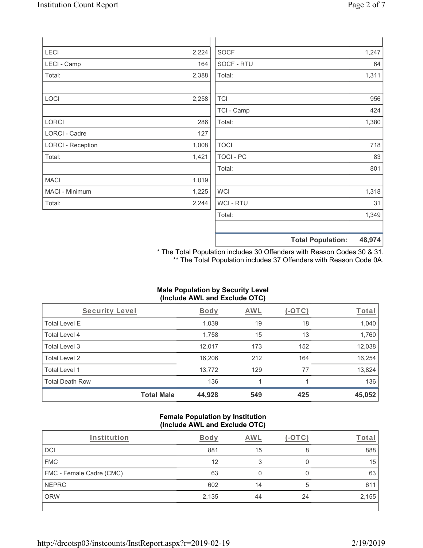| 2,224 | <b>SOCF</b>      | 1,247                    |
|-------|------------------|--------------------------|
| 164   | SOCF - RTU       | 64                       |
| 2,388 | Total:           | 1,311                    |
|       |                  |                          |
| 2,258 | <b>TCI</b>       | 956                      |
|       | TCI - Camp       | 424                      |
| 286   | Total:           | 1,380                    |
| 127   |                  |                          |
| 1,008 | <b>TOCI</b>      | 718                      |
| 1,421 | <b>TOCI - PC</b> | 83                       |
|       | Total:           | 801                      |
| 1,019 |                  |                          |
| 1,225 | <b>WCI</b>       | 1,318                    |
| 2,244 | WCI - RTU        | 31                       |
|       | Total:           | 1,349                    |
|       |                  | 48,974                   |
|       |                  | <b>Total Population:</b> |

\* The Total Population includes 30 Offenders with Reason Codes 30 & 31. \*\* The Total Population includes 37 Offenders with Reason Code 0A.

# **Male Population by Security Level (Include AWL and Exclude OTC)**

| Security Level         |                   | <b>Body</b> | <b>AWL</b> | $(-\text{OTC})$ | <u>Total</u> |
|------------------------|-------------------|-------------|------------|-----------------|--------------|
| <b>Total Level E</b>   |                   | 1,039       | 19         | 18              | 1,040        |
| Total Level 4          |                   | 1,758       | 15         | 13              | 1,760        |
| Total Level 3          |                   | 12,017      | 173        | 152             | 12,038       |
| Total Level 2          |                   | 16,206      | 212        | 164             | 16,254       |
| Total Level 1          |                   | 13,772      | 129        | 77              | 13,824       |
| <b>Total Death Row</b> |                   | 136         |            |                 | 136          |
|                        | <b>Total Male</b> | 44,928      | 549        | 425             | 45,052       |

#### **Female Population by Institution (Include AWL and Exclude OTC)**

| Institution              | Bodv  | AWL |    | ⊺ota  |
|--------------------------|-------|-----|----|-------|
| <b>DCI</b>               | 881   | 15  | 8  | 888   |
| <b>FMC</b>               | 12    |     |    | 15    |
| FMC - Female Cadre (CMC) | 63    |     |    | 63    |
| <b>NEPRC</b>             | 602   | 14  | 5  | 61'   |
| <b>ORW</b>               | 2,135 | 44  | 24 | 2,155 |
|                          |       |     |    |       |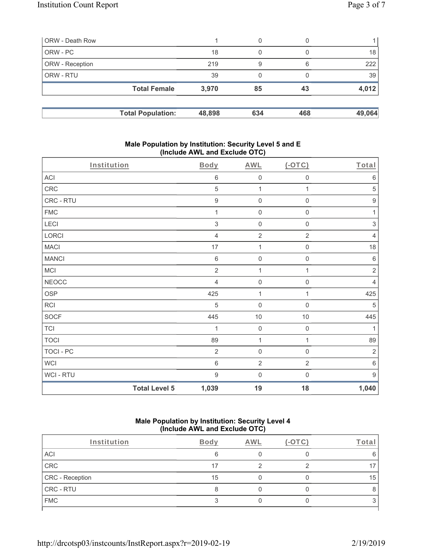| ORW - Death Row |                          |        | 0   | 0   |        |
|-----------------|--------------------------|--------|-----|-----|--------|
| ORW - PC        |                          | 18     | 0   |     | 18     |
| ORW - Reception |                          | 219    | 9   | 6   | 222    |
| ORW - RTU       |                          | 39     | 0   |     | 39     |
|                 | <b>Total Female</b>      | 3,970  | 85  | 43  | 4,012  |
|                 | <b>Total Population:</b> | 48,898 | 634 | 468 | 49,064 |

#### **Male Population by Institution: Security Level 5 and E (Include AWL and Exclude OTC)**

| Institution      |                      | <b>Body</b>      | <b>AWL</b>          | (OTC)               | Total            |
|------------------|----------------------|------------------|---------------------|---------------------|------------------|
| ACI              |                      | $\,6\,$          | $\mathsf{O}\xspace$ | $\mathsf{O}\xspace$ | $\,6\,$          |
| CRC              |                      | $\mathbf 5$      | 1                   | 1                   | 5                |
| CRC - RTU        |                      | $\boldsymbol{9}$ | $\mathbf 0$         | $\mathsf{O}\xspace$ | $\boldsymbol{9}$ |
| <b>FMC</b>       |                      | 1                | $\mathsf{O}\xspace$ | $\boldsymbol{0}$    | 1                |
| LECI             |                      | $\sqrt{3}$       | $\mathbf 0$         | $\mathsf{O}\xspace$ | $\sqrt{3}$       |
| LORCI            |                      | $\overline{4}$   | $\sqrt{2}$          | $\overline{2}$      | $\overline{4}$   |
| <b>MACI</b>      |                      | 17               | 1                   | $\mathsf 0$         | 18               |
| <b>MANCI</b>     |                      | $\,6\,$          | $\mathbf 0$         | $\mathsf{O}\xspace$ | $\,6\,$          |
| MCI              |                      | $\overline{2}$   | $\mathbf 1$         | $\mathbf{1}$        | $\sqrt{2}$       |
| <b>NEOCC</b>     |                      | 4                | $\mathsf{O}\xspace$ | $\mathbf 0$         | $\overline{4}$   |
| <b>OSP</b>       |                      | 425              | $\mathbf{1}$        | 1                   | 425              |
| RCI              |                      | $\sqrt{5}$       | $\mathbf 0$         | $\mathbf 0$         | $\sqrt{5}$       |
| SOCF             |                      | 445              | $10$                | 10                  | 445              |
| <b>TCI</b>       |                      | 1                | $\mathsf{O}\xspace$ | $\mathbf 0$         | 1                |
| <b>TOCI</b>      |                      | 89               | $\mathbf 1$         | $\mathbf{1}$        | 89               |
| <b>TOCI - PC</b> |                      | $\sqrt{2}$       | $\mathsf{O}\xspace$ | $\mathsf 0$         | $\sqrt{2}$       |
| <b>WCI</b>       |                      | $\,6\,$          | $\overline{2}$      | $\overline{2}$      | $6\,$            |
| WCI - RTU        |                      | $\boldsymbol{9}$ | $\boldsymbol{0}$    | $\mathsf 0$         | $9\,$            |
|                  | <b>Total Level 5</b> | 1,039            | 19                  | 18                  | 1,040            |

#### **Male Population by Institution: Security Level 4 (Include AWL and Exclude OTC)**

| Institution     | Body | AWL | -ota |
|-----------------|------|-----|------|
| ACI             | 6    |     |      |
| CRC             | 17   |     |      |
| CRC - Reception | 15   |     | 15   |
| CRC - RTU       |      |     |      |
| <b>FMC</b>      |      |     |      |
|                 |      |     |      |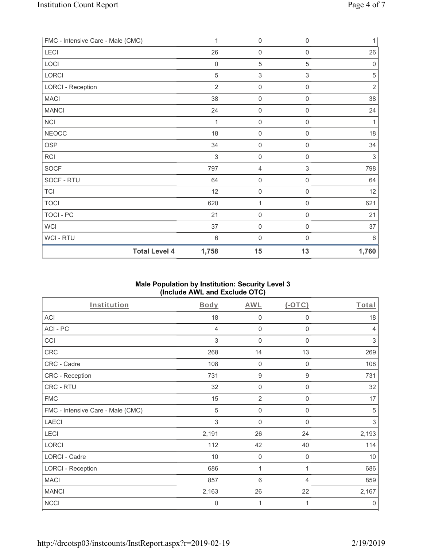|                                   | <b>Total Level 4</b><br>1,758 | 15                  | 13                        | 1,760       |
|-----------------------------------|-------------------------------|---------------------|---------------------------|-------------|
| WCI-RTU                           | $6\,$                         | $\mathsf{O}\xspace$ | $\boldsymbol{0}$          | 6           |
| <b>WCI</b>                        | 37                            | $\mathsf 0$         | 0                         | 37          |
| <b>TOCI - PC</b>                  | 21                            | $\mathsf{O}\xspace$ | $\mathsf 0$               | 21          |
| <b>TOCI</b>                       | 620                           | 1                   | 0                         | 621         |
| <b>TCI</b>                        | 12                            | $\mathsf{O}\xspace$ | $\mathsf{O}\xspace$       | 12          |
| SOCF - RTU                        | 64                            | $\mathsf{O}\xspace$ | $\mathsf{O}\xspace$       | 64          |
| <b>SOCF</b>                       | 797                           | $\overline{4}$      | $\ensuremath{\mathsf{3}}$ | 798         |
| RCI                               | $\sqrt{3}$                    | $\mathbf 0$         | 0                         | $\sqrt{3}$  |
| <b>OSP</b>                        | 34                            | $\mathbf 0$         | 0                         | 34          |
| <b>NEOCC</b>                      | 18                            | $\mathbf 0$         | 0                         | 18          |
| <b>NCI</b>                        | 1                             | $\mathbf 0$         | 0                         | 1           |
| <b>MANCI</b>                      | 24                            | $\mathbf 0$         | 0                         | 24          |
| <b>MACI</b>                       | 38                            | $\mathbf 0$         | 0                         | 38          |
| <b>LORCI - Reception</b>          | $\overline{2}$                | $\mathsf{O}\xspace$ | $\mathbf 0$               | $\sqrt{2}$  |
| LORCI                             | 5                             | $\sqrt{3}$          | $\,$ 3 $\,$               | 5           |
| LOCI                              | $\mathbf 0$                   | $\sqrt{5}$          | 5                         | $\mathbf 0$ |
| LECI                              | 26                            | $\mathbf 0$         | $\mathbf 0$               | 26          |
| FMC - Intensive Care - Male (CMC) | 1                             | $\mathsf{O}\xspace$ | 0                         | 1           |

# **Male Population by Institution: Security Level 3 (Include AWL and Exclude OTC)**

| Institution                       | Body  | AWL              | $(-OTC)$         | Total          |
|-----------------------------------|-------|------------------|------------------|----------------|
| <b>ACI</b>                        | 18    | 0                | $\boldsymbol{0}$ | 18             |
| ACI-PC                            | 4     | $\mathbf 0$      | $\mathbf 0$      | $\overline{4}$ |
| CCI                               | 3     | 0                | $\mathbf 0$      | 3              |
| CRC                               | 268   | 14               | 13               | 269            |
| CRC - Cadre                       | 108   | $\boldsymbol{0}$ | $\mathbf 0$      | 108            |
| CRC - Reception                   | 731   | 9                | $\boldsymbol{9}$ | 731            |
| CRC - RTU                         | 32    | $\mathbf 0$      | 0                | 32             |
| <b>FMC</b>                        | 15    | $\overline{2}$   | 0                | 17             |
| FMC - Intensive Care - Male (CMC) | 5     | $\mathbf 0$      | $\mathbf 0$      | 5              |
| <b>LAECI</b>                      | 3     | $\boldsymbol{0}$ | $\mathbf 0$      | 3              |
| LECI                              | 2,191 | 26               | 24               | 2,193          |
| <b>LORCI</b>                      | 112   | 42               | 40               | 114            |
| LORCI - Cadre                     | 10    | $\mathbf 0$      | $\mathbf 0$      | 10             |
| <b>LORCI - Reception</b>          | 686   | 1                | 1                | 686            |
| <b>MACI</b>                       | 857   | 6                | 4                | 859            |
| <b>MANCI</b>                      | 2,163 | 26               | 22               | 2,167          |
| <b>NCCI</b>                       | 0     | 1                | 1                | $\mathbf 0$    |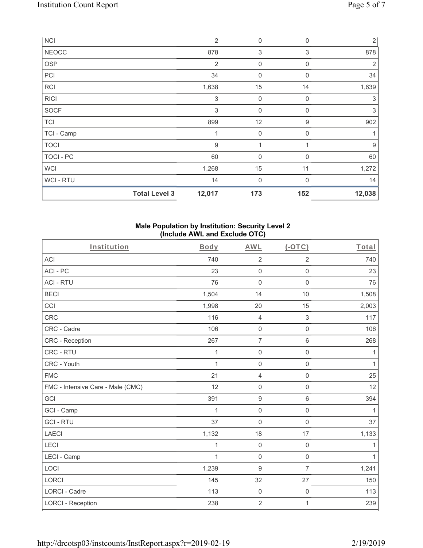| <b>NCI</b>       |                      | $\overline{2}$            | $\mathbf 0$    | $\mathbf 0$ | $\overline{2}$ |
|------------------|----------------------|---------------------------|----------------|-------------|----------------|
| <b>NEOCC</b>     |                      | 878                       | 3              | 3           | 878            |
| <b>OSP</b>       |                      | $\overline{2}$            | $\mathbf 0$    | $\mathbf 0$ | 2              |
| PCI              |                      | 34                        | $\mathbf 0$    | $\mathbf 0$ | 34             |
| RCI              |                      | 1,638                     | 15             | 14          | 1,639          |
| <b>RICI</b>      |                      | $\ensuremath{\mathsf{3}}$ | $\mathbf 0$    | $\mathbf 0$ | 3              |
| <b>SOCF</b>      |                      | 3                         | 0              | $\mathbf 0$ | 3              |
| <b>TCI</b>       |                      | 899                       | 12             | 9           | 902            |
| TCI - Camp       |                      | 1                         | $\mathbf 0$    | 0           | 1              |
| <b>TOCI</b>      |                      | $\boldsymbol{9}$          | 1              |             | 9              |
| <b>TOCI - PC</b> |                      | 60                        | $\overline{0}$ | $\Omega$    | 60             |
| <b>WCI</b>       |                      | 1,268                     | 15             | 11          | 1,272          |
| WCI - RTU        |                      | 14                        | $\mathbf 0$    | 0           | 14             |
|                  | <b>Total Level 3</b> | 12,017                    | 173            | 152         | 12,038         |

### **Male Population by Institution: Security Level 2 (Include AWL and Exclude OTC)**

| Institution                       | Body         | <b>AWL</b>          | $(-OTC)$            | Total        |
|-----------------------------------|--------------|---------------------|---------------------|--------------|
| ACI                               | 740          | $\overline{2}$      | $\overline{2}$      | 740          |
| ACI-PC                            | 23           | $\mathbf 0$         | $\mathsf{O}\xspace$ | 23           |
| <b>ACI - RTU</b>                  | 76           | $\mathbf 0$         | $\mathsf{O}\xspace$ | 76           |
| <b>BECI</b>                       | 1,504        | 14                  | 10                  | 1,508        |
| CCI                               | 1,998        | 20                  | 15                  | 2,003        |
| <b>CRC</b>                        | 116          | $\overline{4}$      | $\mathfrak{S}$      | 117          |
| CRC - Cadre                       | 106          | $\mathsf{O}\xspace$ | $\mathbf 0$         | 106          |
| CRC - Reception                   | 267          | $\overline{7}$      | $6\,$               | 268          |
| CRC - RTU                         | 1            | $\mathsf{O}\xspace$ | $\mathsf{O}\xspace$ | 1            |
| CRC - Youth                       | $\mathbf{1}$ | 0                   | $\mathsf{O}\xspace$ | $\mathbf{1}$ |
| <b>FMC</b>                        | 21           | $\overline{4}$      | $\mathsf{O}\xspace$ | 25           |
| FMC - Intensive Care - Male (CMC) | 12           | $\mathsf{O}\xspace$ | $\mathsf 0$         | 12           |
| GCI                               | 391          | $\boldsymbol{9}$    | $\,6\,$             | 394          |
| GCI - Camp                        | $\mathbf{1}$ | $\mathsf{O}\xspace$ | $\mathsf 0$         | $\mathbf{1}$ |
| <b>GCI-RTU</b>                    | 37           | $\mathbf 0$         | $\mathbf 0$         | 37           |
| <b>LAECI</b>                      | 1,132        | 18                  | 17                  | 1,133        |
| LECI                              | $\mathbf{1}$ | $\mathsf{O}\xspace$ | $\mathsf{O}\xspace$ | 1            |
| LECI - Camp                       | $\mathbf{1}$ | $\mathbf 0$         | $\mathsf{O}\xspace$ | 1            |
| LOCI                              | 1,239        | $\boldsymbol{9}$    | $\overline{7}$      | 1,241        |
| LORCI                             | 145          | 32                  | 27                  | 150          |
| <b>LORCI - Cadre</b>              | 113          | $\mathbf 0$         | $\mathsf{O}\xspace$ | 113          |
| <b>LORCI - Reception</b>          | 238          | $\overline{2}$      | 1                   | 239          |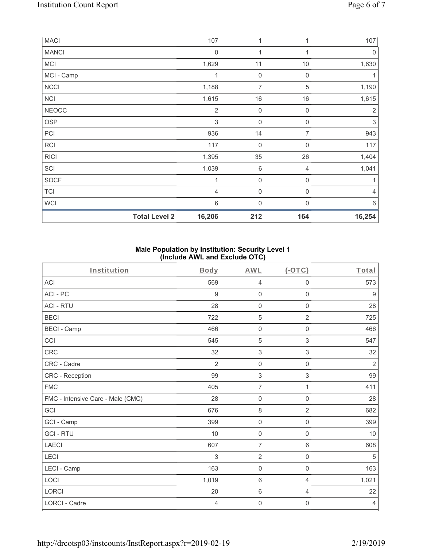| <b>MACI</b>  |                      | 107            | 1                   |                  | 107                       |
|--------------|----------------------|----------------|---------------------|------------------|---------------------------|
| <b>MANCI</b> |                      | $\mathbf 0$    | 1                   | 1                | 0                         |
| MCI          |                      | 1,629          | 11                  | 10               | 1,630                     |
| MCI - Camp   |                      | 1              | $\mathsf{O}\xspace$ | $\mathbf 0$      |                           |
| <b>NCCI</b>  |                      | 1,188          | $\overline{7}$      | $\mathbf 5$      | 1,190                     |
| <b>NCI</b>   |                      | 1,615          | 16                  | 16               | 1,615                     |
| <b>NEOCC</b> |                      | $\overline{2}$ | $\mathsf{O}\xspace$ | $\mathbf 0$      | 2                         |
| OSP          |                      | 3              | $\boldsymbol{0}$    | $\mathbf 0$      | $\ensuremath{\mathsf{3}}$ |
| PCI          |                      | 936            | 14                  | $\overline{7}$   | 943                       |
| <b>RCI</b>   |                      | 117            | $\mathsf{O}\xspace$ | $\mathbf 0$      | 117                       |
| <b>RICI</b>  |                      | 1,395          | 35                  | 26               | 1,404                     |
| SCI          |                      | 1,039          | $\,$ 6 $\,$         | 4                | 1,041                     |
| <b>SOCF</b>  |                      | 1              | $\mathsf{O}\xspace$ | $\mathbf 0$      | 1                         |
| <b>TCI</b>   |                      | 4              | $\boldsymbol{0}$    | $\boldsymbol{0}$ | 4                         |
| <b>WCI</b>   |                      | 6              | 0                   | $\cap$           | $6\,$                     |
|              | <b>Total Level 2</b> | 16,206         | 212                 | 164              | 16,254                    |

### **Male Population by Institution: Security Level 1 (Include AWL and Exclude OTC)**

| Institution                       | <b>Body</b>    | <b>AWL</b>          | $(-OTC)$            | Total            |
|-----------------------------------|----------------|---------------------|---------------------|------------------|
| <b>ACI</b>                        | 569            | $\overline{4}$      | $\mathsf{O}\xspace$ | 573              |
| ACI-PC                            | 9              | $\mathbf 0$         | $\mathsf{O}\xspace$ | $\boldsymbol{9}$ |
| <b>ACI - RTU</b>                  | 28             | $\mathbf 0$         | $\mathbf 0$         | 28               |
| <b>BECI</b>                       | 722            | 5                   | $\overline{2}$      | 725              |
| <b>BECI - Camp</b>                | 466            | $\mathbf 0$         | $\mathsf{O}\xspace$ | 466              |
| CCI                               | 545            | 5                   | $\sqrt{3}$          | 547              |
| <b>CRC</b>                        | 32             | 3                   | 3                   | 32               |
| CRC - Cadre                       | $\overline{2}$ | $\mathbf 0$         | $\mathsf{O}\xspace$ | $\overline{2}$   |
| CRC - Reception                   | 99             | 3                   | 3                   | 99               |
| <b>FMC</b>                        | 405            | $\overline{7}$      | $\mathbf{1}$        | 411              |
| FMC - Intensive Care - Male (CMC) | 28             | $\mathbf 0$         | $\mathsf{O}\xspace$ | 28               |
| GCI                               | 676            | $\,8\,$             | $\overline{2}$      | 682              |
| GCI - Camp                        | 399            | $\mathsf{O}\xspace$ | $\mathbf 0$         | 399              |
| <b>GCI-RTU</b>                    | 10             | $\mathbf 0$         | $\mathbf 0$         | 10               |
| LAECI                             | 607            | $\overline{7}$      | $\,6\,$             | 608              |
| LECI                              | 3              | $\overline{2}$      | $\mathsf{O}\xspace$ | 5                |
| LECI - Camp                       | 163            | $\mathbf 0$         | $\mathbf 0$         | 163              |
| LOCI                              | 1,019          | 6                   | $\overline{4}$      | 1,021            |
| LORCI                             | 20             | $6\,$               | $\overline{4}$      | 22               |
| <b>LORCI - Cadre</b>              | 4              | $\mathbf 0$         | 0                   | $\overline{4}$   |